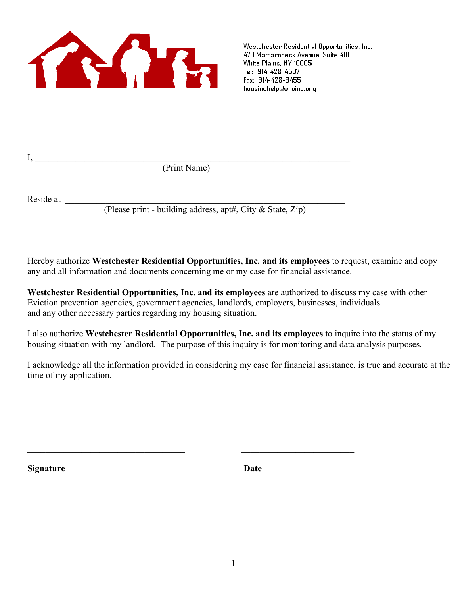

Westchester Residential Opportunities, Inc. 470 Mamaroneck Avenue, Suite 410 White Plains, NY 10605 Tel: 914-428-4507 Fax: 914-428-9455 housinghelp@wroinc.org

 $\text{I},$ (Print Name)

**\_\_\_\_\_\_\_\_\_\_\_\_\_\_\_\_\_\_\_\_\_\_\_\_\_\_\_\_\_\_\_\_\_\_\_ \_\_\_\_\_\_\_\_\_\_\_\_\_\_\_\_\_\_\_\_\_\_\_\_\_**

Reside at \_\_\_\_\_\_\_\_\_\_\_\_\_\_\_\_\_\_\_\_\_\_\_\_\_\_\_\_\_\_\_\_\_\_\_\_\_\_\_\_\_\_\_\_\_\_\_\_\_\_\_\_\_\_\_\_\_\_\_\_\_\_

(Please print - building address, apt#, City & State, Zip)

Hereby authorize **Westchester Residential Opportunities, Inc. and its employees** to request, examine and copy any and all information and documents concerning me or my case for financial assistance.

**Westchester Residential Opportunities, Inc. and its employees** are authorized to discuss my case with other Eviction prevention agencies, government agencies, landlords, employers, businesses, individuals and any other necessary parties regarding my housing situation.

I also authorize **Westchester Residential Opportunities, Inc. and its employees** to inquire into the status of my housing situation with my landlord. The purpose of this inquiry is for monitoring and data analysis purposes.

I acknowledge all the information provided in considering my case for financial assistance, is true and accurate at the time of my application.

**Signature Date**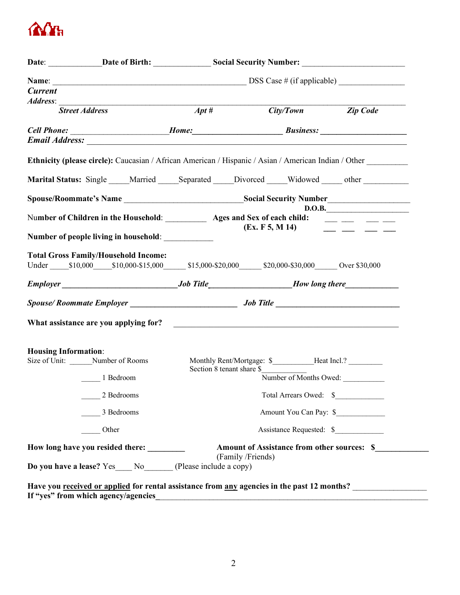

| <b>Current</b>              |                                                                                                                                                                                                                                |                           |                                                               |                                                                                                                                                                                                                                                                                                                                                                                                                                                                                       |
|-----------------------------|--------------------------------------------------------------------------------------------------------------------------------------------------------------------------------------------------------------------------------|---------------------------|---------------------------------------------------------------|---------------------------------------------------------------------------------------------------------------------------------------------------------------------------------------------------------------------------------------------------------------------------------------------------------------------------------------------------------------------------------------------------------------------------------------------------------------------------------------|
| Address:                    |                                                                                                                                                                                                                                |                           |                                                               |                                                                                                                                                                                                                                                                                                                                                                                                                                                                                       |
|                             | <b>Street Address</b>                                                                                                                                                                                                          | $Apt\,\#$                 |                                                               | City/Town Zip Code                                                                                                                                                                                                                                                                                                                                                                                                                                                                    |
|                             |                                                                                                                                                                                                                                |                           |                                                               |                                                                                                                                                                                                                                                                                                                                                                                                                                                                                       |
|                             | Email Address: No. 1998. All and the set of the set of the set of the set of the set of the set of the set of the set of the set of the set of the set of the set of the set of the set of the set of the set of the set of th |                           |                                                               |                                                                                                                                                                                                                                                                                                                                                                                                                                                                                       |
|                             | Ethnicity (please circle): Caucasian / African American / Hispanic / Asian / American Indian / Other                                                                                                                           |                           |                                                               |                                                                                                                                                                                                                                                                                                                                                                                                                                                                                       |
|                             | Marital Status: Single Married Separated Divorced Widowed other                                                                                                                                                                |                           |                                                               |                                                                                                                                                                                                                                                                                                                                                                                                                                                                                       |
|                             |                                                                                                                                                                                                                                |                           |                                                               |                                                                                                                                                                                                                                                                                                                                                                                                                                                                                       |
|                             |                                                                                                                                                                                                                                |                           |                                                               | D.O.B.                                                                                                                                                                                                                                                                                                                                                                                                                                                                                |
|                             | Number of Children in the Household: <u>Ages</u> and Sex of each child: <u>Ages and Sex of each child:</u>                                                                                                                     |                           |                                                               |                                                                                                                                                                                                                                                                                                                                                                                                                                                                                       |
|                             |                                                                                                                                                                                                                                |                           | (Ex. F5, M14)                                                 | $\begin{tabular}{lllllllllll} \toprule & \multicolumn{1}{l}{} & \multicolumn{1}{l}{} & \multicolumn{1}{l}{} & \multicolumn{1}{l}{} & \multicolumn{1}{l}{} & \multicolumn{1}{l}{} & \multicolumn{1}{l}{} & \multicolumn{1}{l}{} & \multicolumn{1}{l}{} & \multicolumn{1}{l}{} & \multicolumn{1}{l}{} & \multicolumn{1}{l}{} & \multicolumn{1}{l}{} & \multicolumn{1}{l}{} & \multicolumn{1}{l}{} & \multicolumn{1}{l}{} & \multicolumn{1}{l}{} & \multicolumn{1}{l}{} & \multicolumn{$ |
|                             |                                                                                                                                                                                                                                |                           |                                                               |                                                                                                                                                                                                                                                                                                                                                                                                                                                                                       |
|                             | <b>Total Gross Family/Household Income:</b>                                                                                                                                                                                    |                           |                                                               |                                                                                                                                                                                                                                                                                                                                                                                                                                                                                       |
|                             | Under \$10,000 \$10,000-\$15,000 \$15,000-\$20,000 \$20,000-\$30,000 Over \$30,000                                                                                                                                             |                           |                                                               |                                                                                                                                                                                                                                                                                                                                                                                                                                                                                       |
|                             |                                                                                                                                                                                                                                |                           |                                                               |                                                                                                                                                                                                                                                                                                                                                                                                                                                                                       |
|                             |                                                                                                                                                                                                                                |                           |                                                               |                                                                                                                                                                                                                                                                                                                                                                                                                                                                                       |
|                             |                                                                                                                                                                                                                                |                           |                                                               |                                                                                                                                                                                                                                                                                                                                                                                                                                                                                       |
|                             |                                                                                                                                                                                                                                |                           |                                                               |                                                                                                                                                                                                                                                                                                                                                                                                                                                                                       |
|                             |                                                                                                                                                                                                                                |                           |                                                               |                                                                                                                                                                                                                                                                                                                                                                                                                                                                                       |
| <b>Housing Information:</b> |                                                                                                                                                                                                                                |                           | Monthly Rent/Mortgage: \$____________Heat Incl.? ____________ |                                                                                                                                                                                                                                                                                                                                                                                                                                                                                       |
|                             |                                                                                                                                                                                                                                | Section 8 tenant share \$ |                                                               |                                                                                                                                                                                                                                                                                                                                                                                                                                                                                       |
|                             | 1 Bedroom                                                                                                                                                                                                                      |                           | Number of Months Owed:                                        |                                                                                                                                                                                                                                                                                                                                                                                                                                                                                       |
|                             | 2 Bedrooms                                                                                                                                                                                                                     |                           | Total Arrears Owed: \$                                        |                                                                                                                                                                                                                                                                                                                                                                                                                                                                                       |
|                             | 3 Bedrooms                                                                                                                                                                                                                     |                           | Amount You Can Pay: \$                                        |                                                                                                                                                                                                                                                                                                                                                                                                                                                                                       |
|                             | Other                                                                                                                                                                                                                          |                           | Assistance Requested: \$                                      |                                                                                                                                                                                                                                                                                                                                                                                                                                                                                       |
|                             | How long have you resided there:                                                                                                                                                                                               |                           | <b>Amount of Assistance from other sources: \$</b>            |                                                                                                                                                                                                                                                                                                                                                                                                                                                                                       |
|                             |                                                                                                                                                                                                                                |                           | (Family /Friends)                                             |                                                                                                                                                                                                                                                                                                                                                                                                                                                                                       |
|                             | Do you have a lease? Yes No (Please include a copy)                                                                                                                                                                            |                           |                                                               |                                                                                                                                                                                                                                                                                                                                                                                                                                                                                       |
|                             | Have you received or applied for rental assistance from any agencies in the past 12 months?                                                                                                                                    |                           |                                                               |                                                                                                                                                                                                                                                                                                                                                                                                                                                                                       |
|                             | If "yes" from which agency/agencies                                                                                                                                                                                            |                           |                                                               |                                                                                                                                                                                                                                                                                                                                                                                                                                                                                       |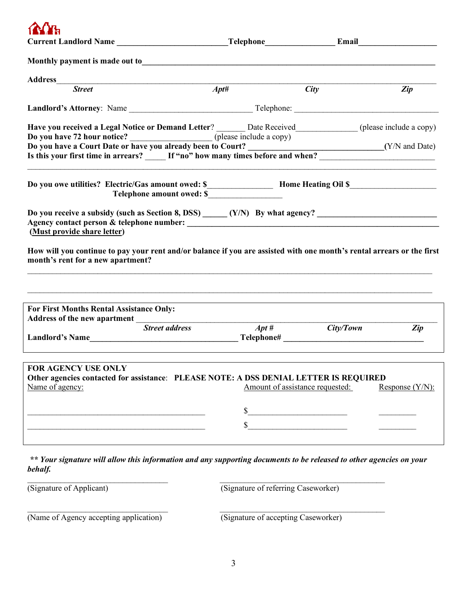**Current Landlord Name \_\_\_\_\_\_\_\_\_\_\_\_\_\_\_\_\_\_\_\_\_\_\_\_\_\_\_Telephone\_\_\_\_\_\_\_\_\_\_\_\_\_\_\_\_\_ Email\_\_\_\_\_\_\_\_\_\_\_\_\_\_\_\_\_\_\_ Monthly payment is made out to Address**\_\_\_\_\_\_\_\_\_\_\_\_\_\_\_\_\_\_\_\_\_\_\_\_\_\_\_\_\_\_\_\_\_\_\_\_\_\_\_\_\_\_\_\_\_\_\_\_\_\_\_\_\_\_\_\_\_\_\_\_\_\_\_\_\_\_\_\_\_\_\_\_\_\_\_\_\_\_\_\_\_\_\_\_\_\_\_\_\_\_\_\_  *Street Apt# City Zip* **Landlord's Attorney**: Name \_\_\_\_\_\_\_\_\_\_\_\_\_\_\_\_\_\_\_\_\_\_\_\_\_\_\_\_\_\_ Telephone: \_\_\_\_\_\_\_\_\_\_\_\_\_\_\_\_\_\_\_\_\_\_\_\_\_\_\_\_\_\_\_\_\_\_\_ **H**ere is received a Legal Notice or Demand Letterre<sup>s</sup> include a construction of the copy (please include a copy)

| Have you received a Legal Notice or Demand Letter?                          | Date Received<br>(please include a copy) |  |
|-----------------------------------------------------------------------------|------------------------------------------|--|
| Do you have 72 hour notice?                                                 | (please include a copy)                  |  |
| Do you have a Court Date or have you already been to Court?                 | (Y/N and Date)                           |  |
| Is this your first time in arrears? If "no" how many times before and when? |                                          |  |
|                                                                             |                                          |  |
| Do you owe utilities? Electric/Gas amount owed: \$                          | <b>Home Heating Oil \$</b>               |  |
| Telephone amount owed: \$                                                   |                                          |  |

| Do you receive a subsidy (such as Section 8, DSS) | $(Y/N)$ By what agency? |
|---------------------------------------------------|-------------------------|
| Agency contact person & telephone number:         |                         |
| (Must provide share letter)                       |                         |

**How will you continue to pay your rent and/or balance if you are assisted with one month's rental arrears or the first month's rent for a new apartment?**

 $\mathcal{L}_\mathcal{L} = \mathcal{L}_\mathcal{L} = \mathcal{L}_\mathcal{L} = \mathcal{L}_\mathcal{L} = \mathcal{L}_\mathcal{L} = \mathcal{L}_\mathcal{L} = \mathcal{L}_\mathcal{L} = \mathcal{L}_\mathcal{L} = \mathcal{L}_\mathcal{L} = \mathcal{L}_\mathcal{L} = \mathcal{L}_\mathcal{L} = \mathcal{L}_\mathcal{L} = \mathcal{L}_\mathcal{L} = \mathcal{L}_\mathcal{L} = \mathcal{L}_\mathcal{L} = \mathcal{L}_\mathcal{L} = \mathcal{L}_\mathcal{L}$ 

| <b>For First Months Rental Assistance Only:</b>                                       |                       |                                 |           |                    |
|---------------------------------------------------------------------------------------|-----------------------|---------------------------------|-----------|--------------------|
| Address of the new apartment                                                          |                       |                                 |           |                    |
|                                                                                       | <b>Street address</b> | $Apt\,\#$                       | City/Town | Zip                |
| <b>Landlord's Name</b>                                                                |                       | Telephone#                      |           |                    |
|                                                                                       |                       |                                 |           |                    |
|                                                                                       |                       |                                 |           |                    |
| FOR AGENCY USE ONLY                                                                   |                       |                                 |           |                    |
| Other agencies contacted for assistance: PLEASE NOTE: A DSS DENIAL LETTER IS REQUIRED |                       |                                 |           |                    |
| Name of agency:                                                                       |                       | Amount of assistance requested: |           | Response $(Y/N)$ : |
|                                                                                       |                       |                                 |           |                    |
|                                                                                       |                       |                                 |           |                    |
|                                                                                       |                       |                                 |           |                    |
|                                                                                       |                       |                                 |           |                    |
|                                                                                       |                       |                                 |           |                    |

*\*\* Your signature will allow this information and any supporting documents to be released to other agencies on your behalf.*

 $\mathcal{L}_\mathcal{L} = \{ \mathcal{L}_\mathcal{L} = \{ \mathcal{L}_\mathcal{L} = \{ \mathcal{L}_\mathcal{L} = \{ \mathcal{L}_\mathcal{L} = \{ \mathcal{L}_\mathcal{L} = \{ \mathcal{L}_\mathcal{L} = \{ \mathcal{L}_\mathcal{L} = \{ \mathcal{L}_\mathcal{L} = \{ \mathcal{L}_\mathcal{L} = \{ \mathcal{L}_\mathcal{L} = \{ \mathcal{L}_\mathcal{L} = \{ \mathcal{L}_\mathcal{L} = \{ \mathcal{L}_\mathcal{L} = \{ \mathcal{L}_\mathcal{$ 

(Signature of Applicant) (Signature of referring Caseworker)

| (Name of Agency accepting application) | (Signature of accepting Caseworker) |
|----------------------------------------|-------------------------------------|

(Signature of accepting Caseworker)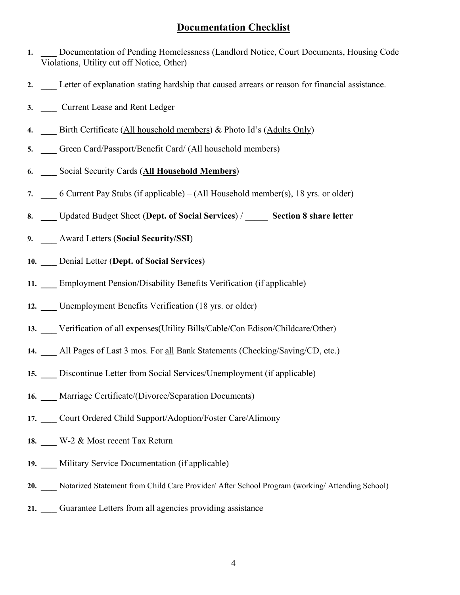# **Documentation Checklist**

- **1. \_\_\_** Documentation of Pending Homelessness (Landlord Notice, Court Documents, Housing Code Violations, Utility cut off Notice, Other)
- **2. \_\_\_** Letter of explanation stating hardship that caused arrears or reason for financial assistance.
- **3. \_\_\_** Current Lease and Rent Ledger
- **4. \_\_\_** Birth Certificate (All household members) & Photo Id's (Adults Only)
- **5. \_\_\_** Green Card/Passport/Benefit Card/ (All household members)
- **6. \_\_\_** Social Security Cards (**All Household Members**)
- **7. \_\_\_** 6 Current Pay Stubs (if applicable) (All Household member(s), 18 yrs. or older)
- **8. \_\_\_** Updated Budget Sheet (**Dept. of Social Services**) / \_\_\_\_\_ **Section 8 share letter**
- **9. \_\_\_** Award Letters (**Social Security/SSI**)
- **10. \_\_\_** Denial Letter (**Dept. of Social Services**)
- **11. \_\_\_** Employment Pension/Disability Benefits Verification (if applicable)
- 12. **Linemployment Benefits Verification (18 yrs. or older)**
- **13. \_\_\_** Verification of all expenses(Utility Bills/Cable/Con Edison/Childcare/Other)
- **14. \_\_\_** All Pages of Last 3 mos. For all Bank Statements (Checking/Saving/CD, etc.)
- **15. \_\_\_** Discontinue Letter from Social Services/Unemployment (if applicable)
- 16. **Marriage Certificate/(Divorce/Separation Documents)**
- **17. \_\_\_** Court Ordered Child Support/Adoption/Foster Care/Alimony
- **18. \_\_\_** W-2 & Most recent Tax Return
- **19. \_\_\_** Military Service Documentation (if applicable)
- **20. \_\_\_** Notarized Statement from Child Care Provider/ After School Program (working/ Attending School)
- **21. \_\_\_** Guarantee Letters from all agencies providing assistance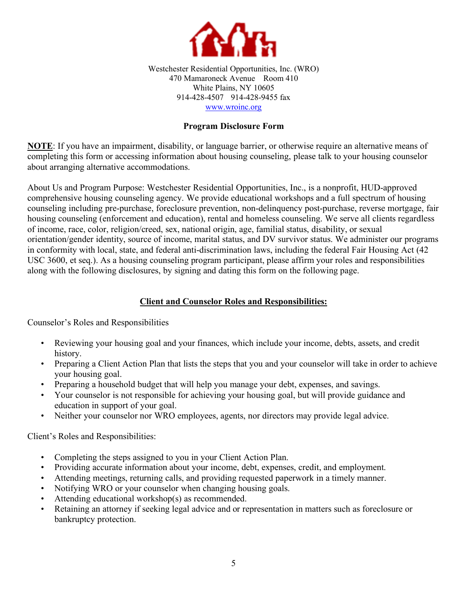

Westchester Residential Opportunities, Inc. (WRO) 470 Mamaroneck Avenue Room 410 White Plains, NY 10605 914-428-4507 914-428-9455 fax www.wroinc.org

# **Program Disclosure Form**

**NOTE**: If you have an impairment, disability, or language barrier, or otherwise require an alternative means of completing this form or accessing information about housing counseling, please talk to your housing counselor about arranging alternative accommodations.

About Us and Program Purpose: Westchester Residential Opportunities, Inc., is a nonprofit, HUD-approved comprehensive housing counseling agency. We provide educational workshops and a full spectrum of housing counseling including pre-purchase, foreclosure prevention, non-delinquency post-purchase, reverse mortgage, fair housing counseling (enforcement and education), rental and homeless counseling. We serve all clients regardless of income, race, color, religion/creed, sex, national origin, age, familial status, disability, or sexual orientation/gender identity, source of income, marital status, and DV survivor status. We administer our programs in conformity with local, state, and federal anti-discrimination laws, including the federal Fair Housing Act (42 USC 3600, et seq.). As a housing counseling program participant, please affirm your roles and responsibilities along with the following disclosures, by signing and dating this form on the following page.

# **Client and Counselor Roles and Responsibilities:**

Counselor's Roles and Responsibilities

- Reviewing your housing goal and your finances, which include your income, debts, assets, and credit history.
- Preparing a Client Action Plan that lists the steps that you and your counselor will take in order to achieve your housing goal.
- Preparing a household budget that will help you manage your debt, expenses, and savings.
- Your counselor is not responsible for achieving your housing goal, but will provide guidance and education in support of your goal.
- Neither your counselor nor WRO employees, agents, nor directors may provide legal advice.

Client's Roles and Responsibilities:

- Completing the steps assigned to you in your Client Action Plan.
- Providing accurate information about your income, debt, expenses, credit, and employment.
- Attending meetings, returning calls, and providing requested paperwork in a timely manner.
- Notifying WRO or your counselor when changing housing goals.
- Attending educational workshop(s) as recommended.
- Retaining an attorney if seeking legal advice and or representation in matters such as foreclosure or bankruptcy protection.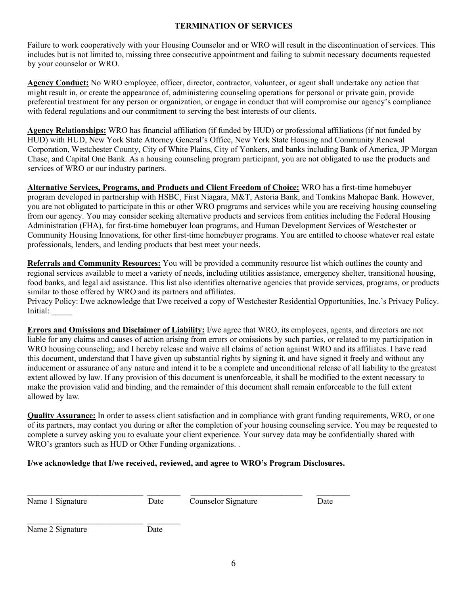### **TERMINATION OF SERVICES**

Failure to work cooperatively with your Housing Counselor and or WRO will result in the discontinuation of services. This includes but is not limited to, missing three consecutive appointment and failing to submit necessary documents requested by your counselor or WRO.

**Agency Conduct:** No WRO employee, officer, director, contractor, volunteer, or agent shall undertake any action that might result in, or create the appearance of, administering counseling operations for personal or private gain, provide preferential treatment for any person or organization, or engage in conduct that will compromise our agency's compliance with federal regulations and our commitment to serving the best interests of our clients.

**Agency Relationships:** WRO has financial affiliation (if funded by HUD) or professional affiliations (if not funded by HUD) with HUD, New York State Attorney General's Office, New York State Housing and Community Renewal Corporation, Westchester County, City of White Plains, City of Yonkers, and banks including Bank of America, JP Morgan Chase, and Capital One Bank. As a housing counseling program participant, you are not obligated to use the products and services of WRO or our industry partners.

**Alternative Services, Programs, and Products and Client Freedom of Choice:** WRO has a first-time homebuyer program developed in partnership with HSBC, First Niagara, M&T, Astoria Bank, and Tomkins Mahopac Bank. However, you are not obligated to participate in this or other WRO programs and services while you are receiving housing counseling from our agency. You may consider seeking alternative products and services from entities including the Federal Housing Administration (FHA), for first-time homebuyer loan programs, and Human Development Services of Westchester or Community Housing Innovations, for other first-time homebuyer programs. You are entitled to choose whatever real estate professionals, lenders, and lending products that best meet your needs.

**Referrals and Community Resources:** You will be provided a community resource list which outlines the county and regional services available to meet a variety of needs, including utilities assistance, emergency shelter, transitional housing, food banks, and legal aid assistance. This list also identifies alternative agencies that provide services, programs, or products similar to those offered by WRO and its partners and affiliates.

Privacy Policy: I/we acknowledge that I/we received a copy of Westchester Residential Opportunities, Inc.'s Privacy Policy. Initial: \_\_\_\_\_

**Errors and Omissions and Disclaimer of Liability:** I/we agree that WRO, its employees, agents, and directors are not liable for any claims and causes of action arising from errors or omissions by such parties, or related to my participation in WRO housing counseling; and I hereby release and waive all claims of action against WRO and its affiliates. I have read this document, understand that I have given up substantial rights by signing it, and have signed it freely and without any inducement or assurance of any nature and intend it to be a complete and unconditional release of all liability to the greatest extent allowed by law. If any provision of this document is unenforceable, it shall be modified to the extent necessary to make the provision valid and binding, and the remainder of this document shall remain enforceable to the full extent allowed by law.

**Quality Assurance:** In order to assess client satisfaction and in compliance with grant funding requirements, WRO, or one of its partners, may contact you during or after the completion of your housing counseling service. You may be requested to complete a survey asking you to evaluate your client experience. Your survey data may be confidentially shared with WRO's grantors such as HUD or Other Funding organizations. .

# **I/we acknowledge that I/we received, reviewed, and agree to WRO's Program Disclosures.**

 $\mathcal{L}_\text{max} = \frac{1}{2} \sum_{i=1}^n \mathcal{L}_\text{max}(\mathbf{x}_i - \mathbf{y}_i)$ 

|  | Name 1 Signature |
|--|------------------|
|--|------------------|

Date Counselor Signature Date

Name 2 Signature Date

\_\_\_\_\_\_\_\_\_\_\_\_\_\_\_\_\_\_\_\_\_\_\_\_\_\_\_\_ \_\_\_\_\_\_\_\_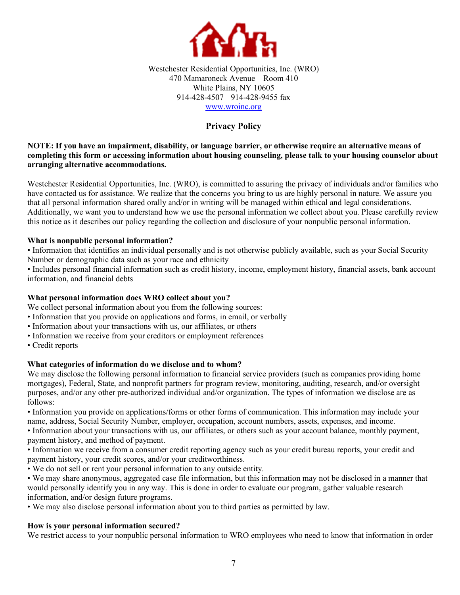

Westchester Residential Opportunities, Inc. (WRO) 470 Mamaroneck Avenue Room 410 White Plains, NY 10605 914-428-4507 914-428-9455 fax www.wroinc.org

# **Privacy Policy**

### **NOTE: If you have an impairment, disability, or language barrier, or otherwise require an alternative means of completing this form or accessing information about housing counseling, please talk to your housing counselor about arranging alternative accommodations.**

Westchester Residential Opportunities, Inc. (WRO), is committed to assuring the privacy of individuals and/or families who have contacted us for assistance. We realize that the concerns you bring to us are highly personal in nature. We assure you that all personal information shared orally and/or in writing will be managed within ethical and legal considerations. Additionally, we want you to understand how we use the personal information we collect about you. Please carefully review this notice as it describes our policy regarding the collection and disclosure of your nonpublic personal information.

#### **What is nonpublic personal information?**

• Information that identifies an individual personally and is not otherwise publicly available, such as your Social Security Number or demographic data such as your race and ethnicity

• Includes personal financial information such as credit history, income, employment history, financial assets, bank account information, and financial debts

#### **What personal information does WRO collect about you?**

We collect personal information about you from the following sources:

- Information that you provide on applications and forms, in email, or verbally
- Information about your transactions with us, our affiliates, or others
- Information we receive from your creditors or employment references
- Credit reports

# **What categories of information do we disclose and to whom?**

We may disclose the following personal information to financial service providers (such as companies providing home mortgages), Federal, State, and nonprofit partners for program review, monitoring, auditing, research, and/or oversight purposes, and/or any other pre-authorized individual and/or organization. The types of information we disclose are as follows:

• Information you provide on applications/forms or other forms of communication. This information may include your name, address, Social Security Number, employer, occupation, account numbers, assets, expenses, and income.

• Information about your transactions with us, our affiliates, or others such as your account balance, monthly payment, payment history, and method of payment.

• Information we receive from a consumer credit reporting agency such as your credit bureau reports, your credit and payment history, your credit scores, and/or your creditworthiness.

• We do not sell or rent your personal information to any outside entity.

• We may share anonymous, aggregated case file information, but this information may not be disclosed in a manner that would personally identify you in any way. This is done in order to evaluate our program, gather valuable research information, and/or design future programs.

• We may also disclose personal information about you to third parties as permitted by law.

# **How is your personal information secured?**

We restrict access to your nonpublic personal information to WRO employees who need to know that information in order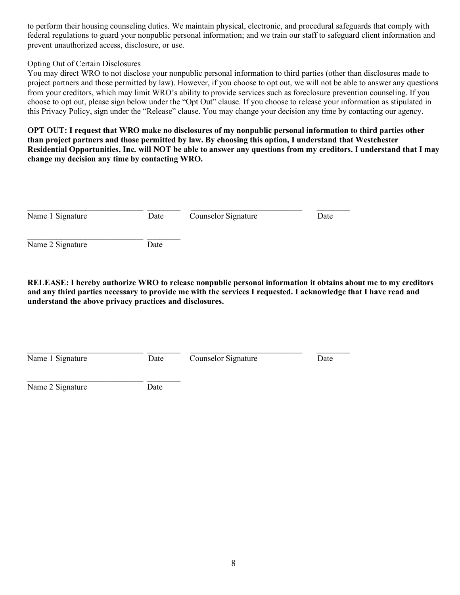to perform their housing counseling duties. We maintain physical, electronic, and procedural safeguards that comply with federal regulations to guard your nonpublic personal information; and we train our staff to safeguard client information and prevent unauthorized access, disclosure, or use.

### Opting Out of Certain Disclosures

You may direct WRO to not disclose your nonpublic personal information to third parties (other than disclosures made to project partners and those permitted by law). However, if you choose to opt out, we will not be able to answer any questions from your creditors, which may limit WRO's ability to provide services such as foreclosure prevention counseling. If you choose to opt out, please sign below under the "Opt Out" clause. If you choose to release your information as stipulated in this Privacy Policy, sign under the "Release" clause. You may change your decision any time by contacting our agency.

**OPT OUT: I request that WRO make no disclosures of my nonpublic personal information to third parties other than project partners and those permitted by law. By choosing this option, I understand that Westchester Residential Opportunities, Inc. will NOT be able to answer any questions from my creditors. I understand that I may change my decision any time by contacting WRO.** 

| Name 1 Signature | Date | Counselor Signature | Date |
|------------------|------|---------------------|------|
| Name 2 Signature | Date |                     |      |

**RELEASE: I hereby authorize WRO to release nonpublic personal information it obtains about me to my creditors and any third parties necessary to provide me with the services I requested. I acknowledge that I have read and understand the above privacy practices and disclosures.** 

| Name 1 Signature | Date | Counselor Signature | Date |
|------------------|------|---------------------|------|
|                  |      |                     |      |

Name 2 Signature Date